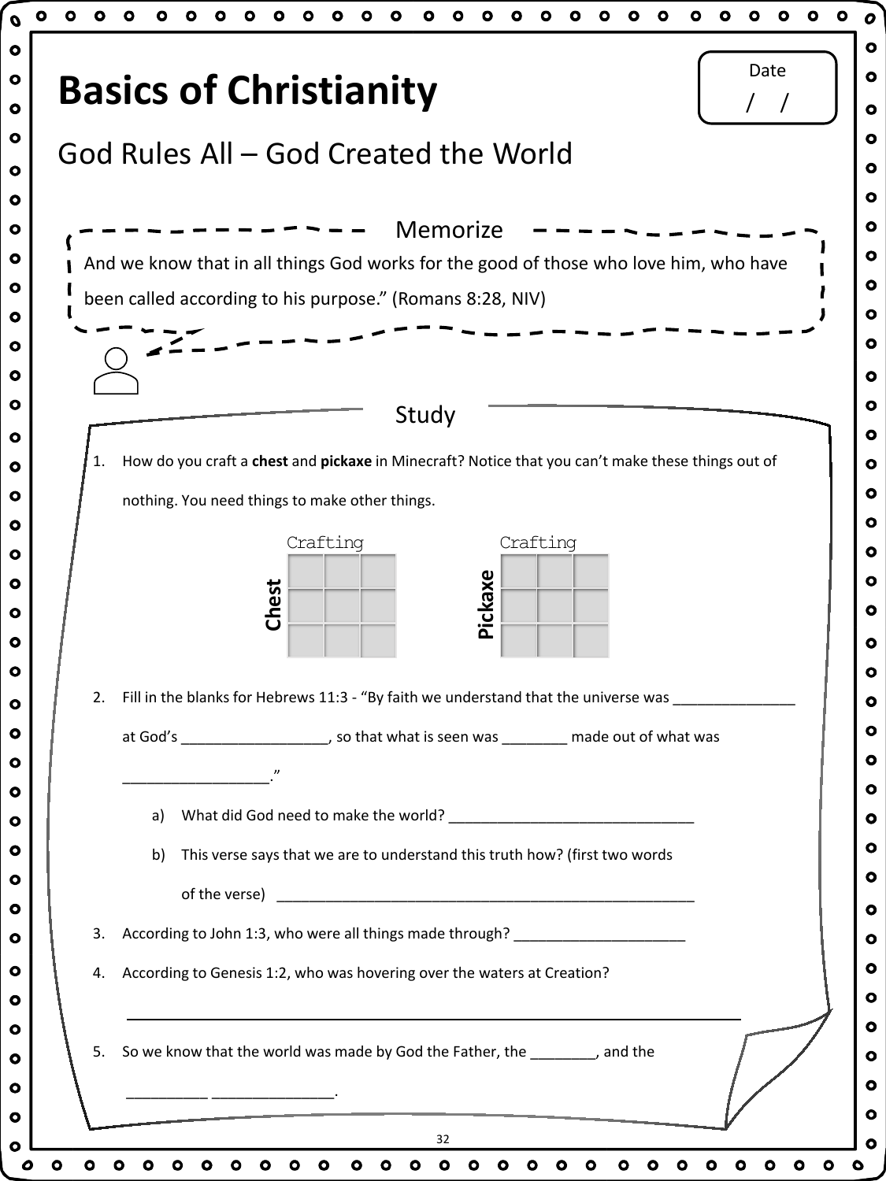|    | <b>Basics of Christianity</b><br>$\prime$<br>God Rules All – God Created the World                |
|----|---------------------------------------------------------------------------------------------------|
|    |                                                                                                   |
|    | Memorize                                                                                          |
|    | And we know that in all things God works for the good of those who love him, who have             |
|    | been called according to his purpose." (Romans 8:28, NIV)                                         |
|    |                                                                                                   |
|    |                                                                                                   |
|    | Study                                                                                             |
| 1. | How do you craft a chest and pickaxe in Minecraft? Notice that you can't make these things out of |
|    | nothing. You need things to make other things.                                                    |
|    | Crafting<br>Crafting                                                                              |
|    |                                                                                                   |
|    | Pickaxe<br>Chest                                                                                  |
|    |                                                                                                   |
| 2. | Fill in the blanks for Hebrews 11:3 - "By faith we understand that the universe was               |
|    | at God's<br>made out of what was<br>, so that what is seen was                                    |
|    |                                                                                                   |
|    | a)                                                                                                |
|    | This verse says that we are to understand this truth how? (first two words<br>b)                  |
|    | of the verse)                                                                                     |
|    | According to John 1:3, who were all things made through? _______________________                  |
| 3. |                                                                                                   |
| 4. | According to Genesis 1:2, who was hovering over the waters at Creation?                           |
|    |                                                                                                   |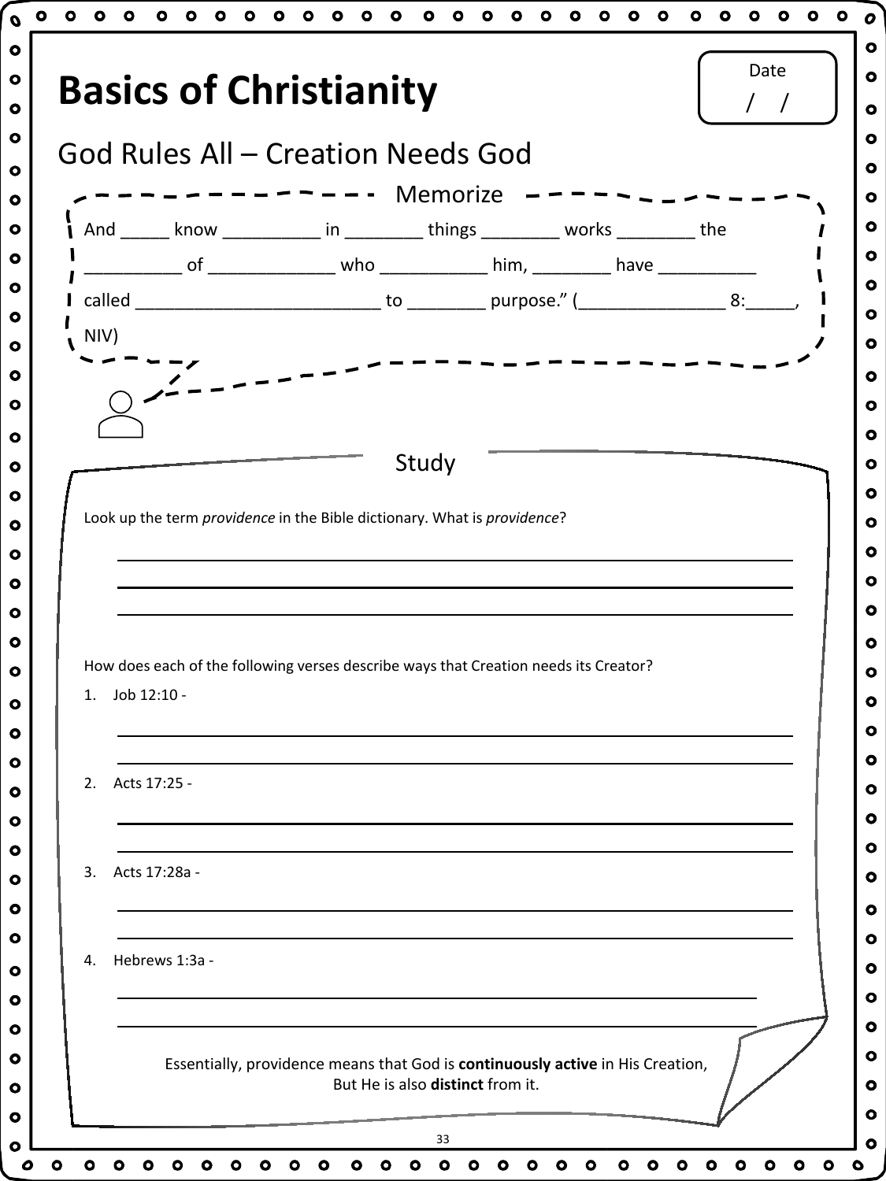| And ______ know ___________ in _________ things ________ works ________ the<br>_____________ of __________________ who ______________ him, ___________ have ____________<br>NIV)<br>_____________________<br>Study |  |
|--------------------------------------------------------------------------------------------------------------------------------------------------------------------------------------------------------------------|--|
|                                                                                                                                                                                                                    |  |
|                                                                                                                                                                                                                    |  |
|                                                                                                                                                                                                                    |  |
|                                                                                                                                                                                                                    |  |
|                                                                                                                                                                                                                    |  |
|                                                                                                                                                                                                                    |  |
|                                                                                                                                                                                                                    |  |
| Look up the term providence in the Bible dictionary. What is providence?                                                                                                                                           |  |
|                                                                                                                                                                                                                    |  |
|                                                                                                                                                                                                                    |  |
|                                                                                                                                                                                                                    |  |
| How does each of the following verses describe ways that Creation needs its Creator?                                                                                                                               |  |
|                                                                                                                                                                                                                    |  |
| Job 12:10 -<br>1.                                                                                                                                                                                                  |  |
|                                                                                                                                                                                                                    |  |
| Acts 17:25 -<br>2.                                                                                                                                                                                                 |  |
|                                                                                                                                                                                                                    |  |
| Acts 17:28a -<br>3.                                                                                                                                                                                                |  |
|                                                                                                                                                                                                                    |  |
| Hebrews 1:3a -<br>4.                                                                                                                                                                                               |  |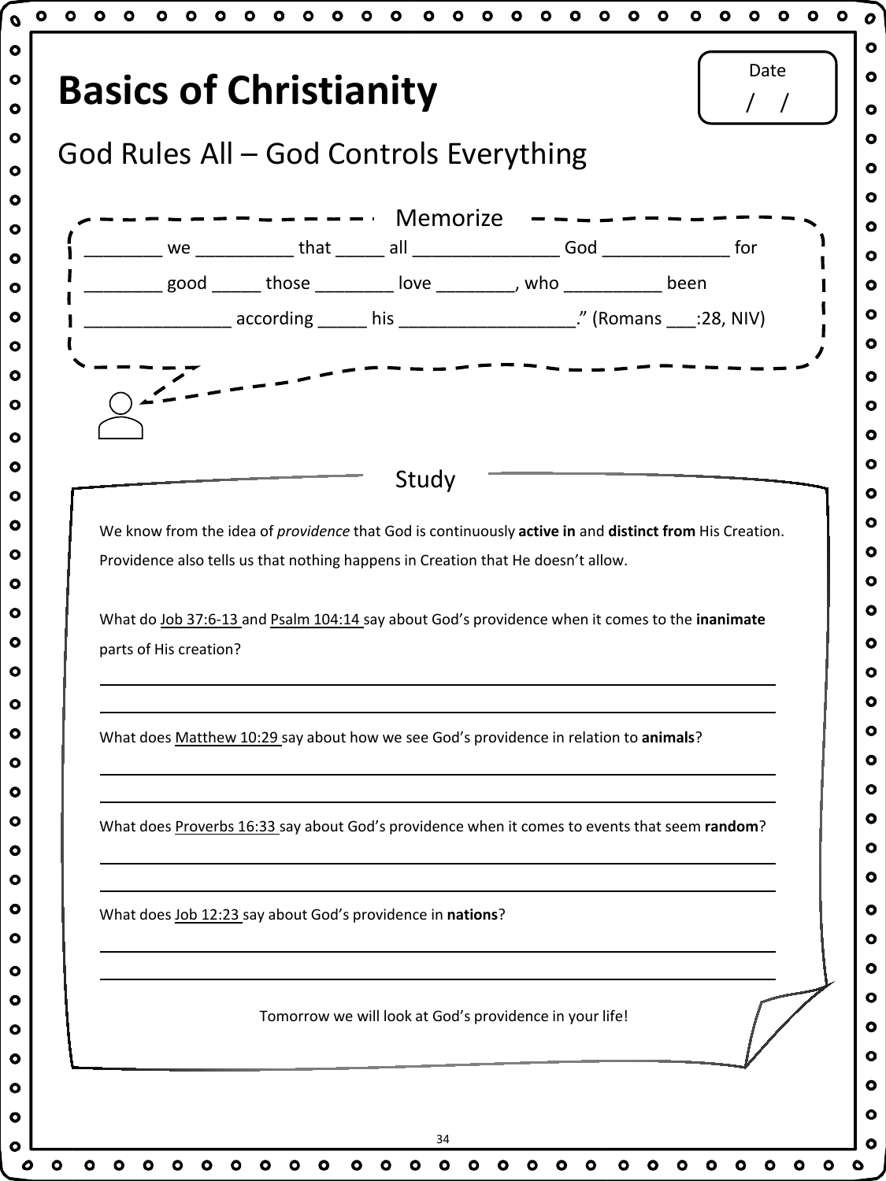|                        |  | $---------$ Memorize                                       | $\frac{1}{2}$                                                                                          |  |
|------------------------|--|------------------------------------------------------------|--------------------------------------------------------------------------------------------------------|--|
|                        |  |                                                            |                                                                                                        |  |
|                        |  |                                                            | _________ good ______ those _________ love _________, who ____________ been                            |  |
|                        |  |                                                            |                                                                                                        |  |
|                        |  |                                                            | _ _ <i>_</i> _ _ _ _ _ _ _ _ _                                                                         |  |
|                        |  |                                                            |                                                                                                        |  |
|                        |  |                                                            |                                                                                                        |  |
|                        |  | Study                                                      |                                                                                                        |  |
|                        |  |                                                            |                                                                                                        |  |
|                        |  |                                                            |                                                                                                        |  |
|                        |  |                                                            | We know from the idea of providence that God is continuously active in and distinct from His Creation. |  |
|                        |  |                                                            | Providence also tells us that nothing happens in Creation that He doesn't allow.                       |  |
|                        |  |                                                            |                                                                                                        |  |
|                        |  |                                                            | What do Job 37:6-13 and Psalm 104:14 say about God's providence when it comes to the inanimate         |  |
| parts of His creation? |  |                                                            |                                                                                                        |  |
|                        |  |                                                            |                                                                                                        |  |
|                        |  |                                                            |                                                                                                        |  |
|                        |  |                                                            | What does Matthew 10:29 say about how we see God's providence in relation to animals?                  |  |
|                        |  |                                                            |                                                                                                        |  |
|                        |  |                                                            |                                                                                                        |  |
|                        |  |                                                            | What does Proverbs 16:33 say about God's providence when it comes to events that seem random?          |  |
|                        |  |                                                            |                                                                                                        |  |
|                        |  |                                                            |                                                                                                        |  |
|                        |  | What does Job 12:23 say about God's providence in nations? |                                                                                                        |  |
|                        |  |                                                            |                                                                                                        |  |
|                        |  |                                                            |                                                                                                        |  |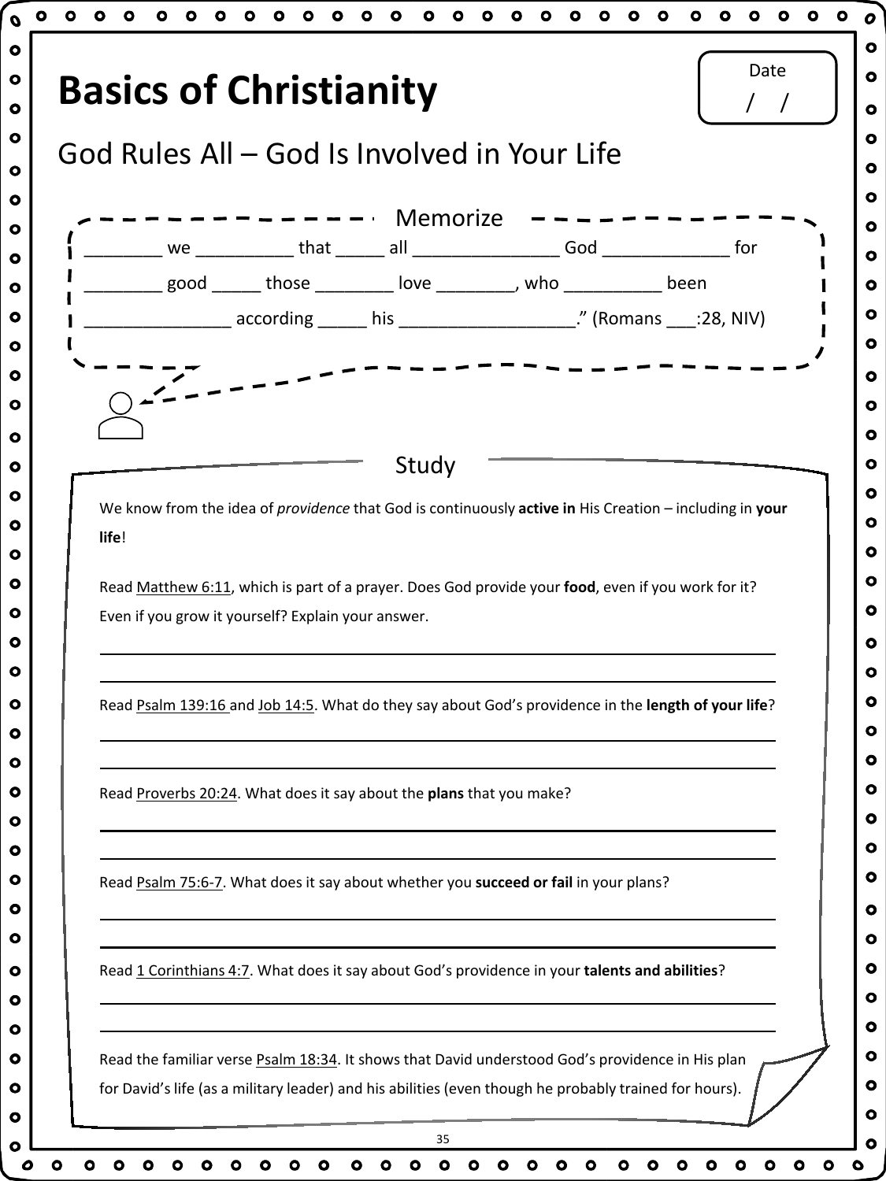|       |  | <b>Basics of Christianity</b>                                                                           |  |  |  |
|-------|--|---------------------------------------------------------------------------------------------------------|--|--|--|
|       |  | God Rules All – God Is Involved in Your Life                                                            |  |  |  |
|       |  |                                                                                                         |  |  |  |
|       |  | $---------$ Memorize                                                                                    |  |  |  |
|       |  | ________ good ______ those _________ love __________, who ____________ been                             |  |  |  |
|       |  | _______________________ according _______ his _________________________." (Romans ____:28, NIV)         |  |  |  |
|       |  |                                                                                                         |  |  |  |
|       |  |                                                                                                         |  |  |  |
|       |  |                                                                                                         |  |  |  |
|       |  | Study                                                                                                   |  |  |  |
|       |  | We know from the idea of providence that God is continuously active in His Creation - including in your |  |  |  |
|       |  |                                                                                                         |  |  |  |
| life! |  |                                                                                                         |  |  |  |
|       |  |                                                                                                         |  |  |  |
|       |  | Read Matthew 6:11, which is part of a prayer. Does God provide your food, even if you work for it?      |  |  |  |
|       |  | Even if you grow it yourself? Explain your answer.                                                      |  |  |  |
|       |  |                                                                                                         |  |  |  |
|       |  | Read Psalm 139:16 and Job 14:5. What do they say about God's providence in the length of your life?     |  |  |  |
|       |  |                                                                                                         |  |  |  |
|       |  | Read Proverbs 20:24. What does it say about the plans that you make?                                    |  |  |  |
|       |  |                                                                                                         |  |  |  |
|       |  |                                                                                                         |  |  |  |
|       |  | Read Psalm 75:6-7. What does it say about whether you succeed or fail in your plans?                    |  |  |  |
|       |  |                                                                                                         |  |  |  |
|       |  | Read 1 Corinthians 4:7. What does it say about God's providence in your talents and abilities?          |  |  |  |
|       |  |                                                                                                         |  |  |  |
|       |  | Read the familiar verse Psalm 18:34. It shows that David understood God's providence in His plan        |  |  |  |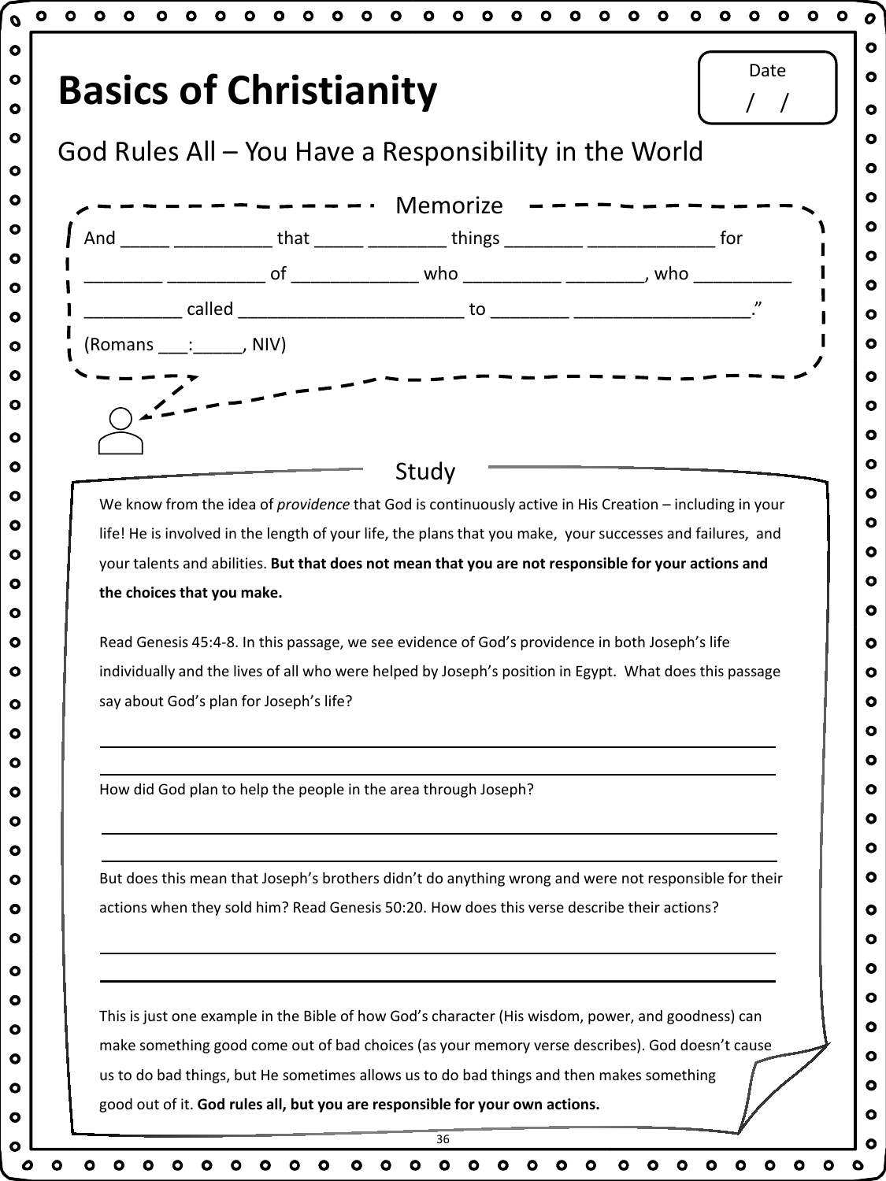| <b>Basics of Christianity</b>                                                                                                                                                                |  |                      |  |  |  |  |
|----------------------------------------------------------------------------------------------------------------------------------------------------------------------------------------------|--|----------------------|--|--|--|--|
| God Rules All – You Have a Responsibility in the World                                                                                                                                       |  |                      |  |  |  |  |
|                                                                                                                                                                                              |  | - – – – – · Memorize |  |  |  |  |
|                                                                                                                                                                                              |  |                      |  |  |  |  |
|                                                                                                                                                                                              |  |                      |  |  |  |  |
|                                                                                                                                                                                              |  |                      |  |  |  |  |
| (Romans ____: ______, NIV)                                                                                                                                                                   |  |                      |  |  |  |  |
|                                                                                                                                                                                              |  |                      |  |  |  |  |
|                                                                                                                                                                                              |  |                      |  |  |  |  |
|                                                                                                                                                                                              |  |                      |  |  |  |  |
|                                                                                                                                                                                              |  | Study                |  |  |  |  |
|                                                                                                                                                                                              |  |                      |  |  |  |  |
|                                                                                                                                                                                              |  |                      |  |  |  |  |
| We know from the idea of providence that God is continuously active in His Creation - including in your                                                                                      |  |                      |  |  |  |  |
| life! He is involved in the length of your life, the plans that you make, your successes and failures, and                                                                                   |  |                      |  |  |  |  |
| your talents and abilities. But that does not mean that you are not responsible for your actions and                                                                                         |  |                      |  |  |  |  |
| the choices that you make.                                                                                                                                                                   |  |                      |  |  |  |  |
| Read Genesis 45:4-8. In this passage, we see evidence of God's providence in both Joseph's life                                                                                              |  |                      |  |  |  |  |
| individually and the lives of all who were helped by Joseph's position in Egypt. What does this passage                                                                                      |  |                      |  |  |  |  |
| say about God's plan for Joseph's life?                                                                                                                                                      |  |                      |  |  |  |  |
|                                                                                                                                                                                              |  |                      |  |  |  |  |
|                                                                                                                                                                                              |  |                      |  |  |  |  |
| How did God plan to help the people in the area through Joseph?                                                                                                                              |  |                      |  |  |  |  |
|                                                                                                                                                                                              |  |                      |  |  |  |  |
|                                                                                                                                                                                              |  |                      |  |  |  |  |
| But does this mean that Joseph's brothers didn't do anything wrong and were not responsible for their                                                                                        |  |                      |  |  |  |  |
| actions when they sold him? Read Genesis 50:20. How does this verse describe their actions?                                                                                                  |  |                      |  |  |  |  |
|                                                                                                                                                                                              |  |                      |  |  |  |  |
|                                                                                                                                                                                              |  |                      |  |  |  |  |
|                                                                                                                                                                                              |  |                      |  |  |  |  |
| This is just one example in the Bible of how God's character (His wisdom, power, and goodness) can                                                                                           |  |                      |  |  |  |  |
| make something good come out of bad choices (as your memory verse describes). God doesn't cause<br>us to do bad things, but He sometimes allows us to do bad things and then makes something |  |                      |  |  |  |  |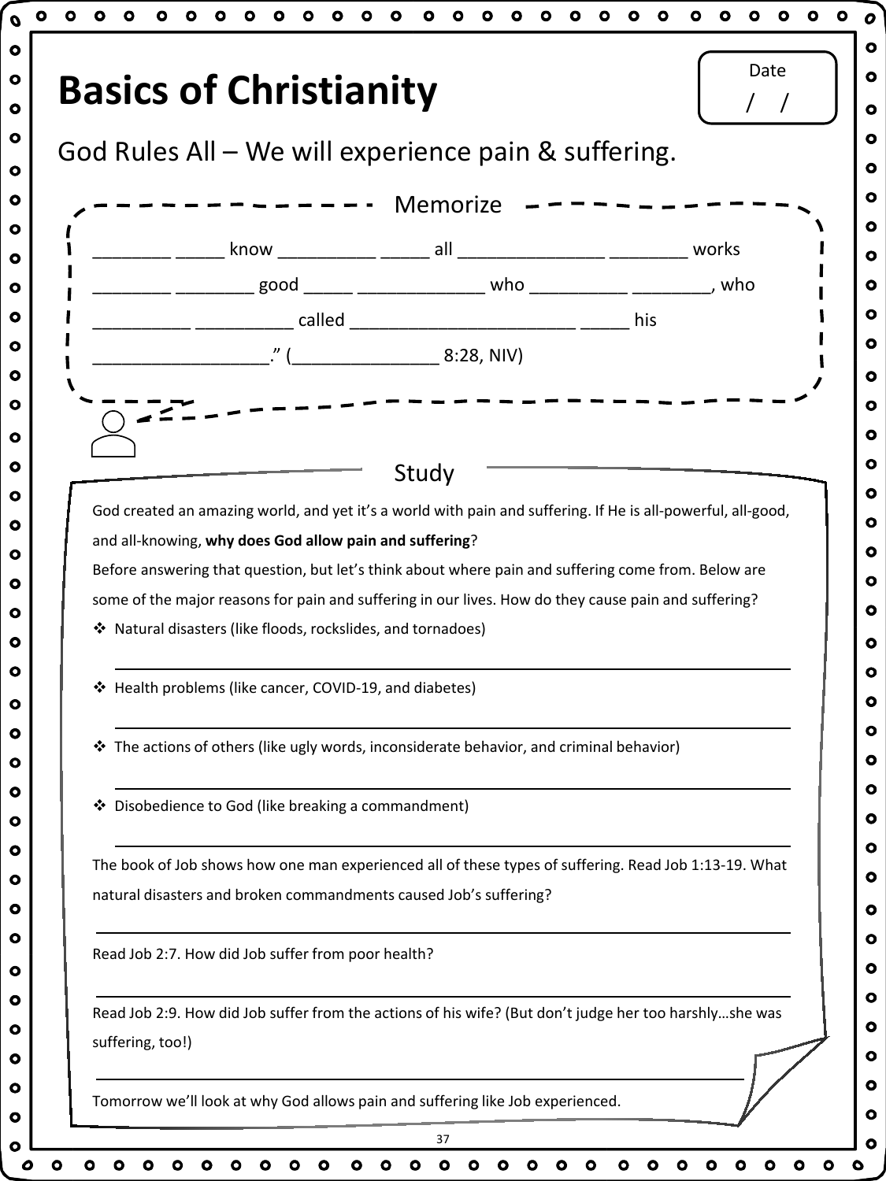|                  | God Rules All - We will experience pain & suffering.                                                         |          |  |  |
|------------------|--------------------------------------------------------------------------------------------------------------|----------|--|--|
|                  |                                                                                                              | Memorize |  |  |
|                  |                                                                                                              |          |  |  |
|                  |                                                                                                              |          |  |  |
|                  | _____ _____________ called _____________________________ _______ his                                         |          |  |  |
|                  | $\frac{1}{2}$ ( $\frac{2}{2}$ 8:28, NIV)                                                                     |          |  |  |
|                  |                                                                                                              |          |  |  |
|                  |                                                                                                              |          |  |  |
|                  |                                                                                                              |          |  |  |
|                  |                                                                                                              |          |  |  |
|                  |                                                                                                              | Study    |  |  |
|                  | God created an amazing world, and yet it's a world with pain and suffering. If He is all-powerful, all-good, |          |  |  |
|                  | and all-knowing, why does God allow pain and suffering?                                                      |          |  |  |
|                  | Before answering that question, but let's think about where pain and suffering come from. Below are          |          |  |  |
|                  | some of the major reasons for pain and suffering in our lives. How do they cause pain and suffering?         |          |  |  |
|                  | ❖ Natural disasters (like floods, rockslides, and tornadoes)                                                 |          |  |  |
|                  |                                                                                                              |          |  |  |
|                  | ❖ Health problems (like cancer, COVID-19, and diabetes)                                                      |          |  |  |
|                  |                                                                                                              |          |  |  |
|                  |                                                                                                              |          |  |  |
|                  | ❖ The actions of others (like ugly words, inconsiderate behavior, and criminal behavior)                     |          |  |  |
|                  |                                                                                                              |          |  |  |
|                  | Disobedience to God (like breaking a commandment)                                                            |          |  |  |
|                  |                                                                                                              |          |  |  |
|                  | The book of Job shows how one man experienced all of these types of suffering. Read Job 1:13-19. What        |          |  |  |
|                  | natural disasters and broken commandments caused Job's suffering?                                            |          |  |  |
|                  |                                                                                                              |          |  |  |
|                  | Read Job 2:7. How did Job suffer from poor health?                                                           |          |  |  |
|                  |                                                                                                              |          |  |  |
| suffering, too!) | Read Job 2:9. How did Job suffer from the actions of his wife? (But don't judge her too harshlyshe was       |          |  |  |